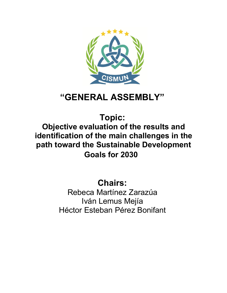

# **"GENERAL ASSEMBLY"**

**Topic:**

**Objective evaluation of the results and identification of the main challenges in the path toward the Sustainable Development Goals for 2030**

**Chairs:**

Rebeca Martínez Zarazúa Iván Lemus Mejía Héctor Esteban Pérez Bonifant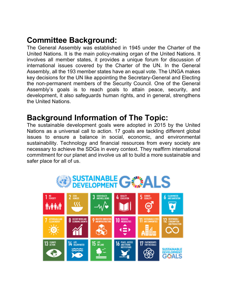# **Committee Background:**

The General Assembly was established in 1945 under the Charter of the United Nations. It is the main policy-making organ of the United Nations. It involves all member states, it provides a unique forum for discussion of international issues covered by the Charter of the UN. In the General Assembly, all the 193 member states have an equal vote. The UNGA makes key decisions for the UN like appointing the Secretary-General and Electing the non-permanent members of the Security Council. One of the General Assembly's goals is to reach goals to attain peace, security, and development, it also safeguards human rights, and in general, strengthens the United Nations.

# **Background Information of The Topic:**

The sustainable development goals were adopted in 2015 by the United Nations as a universal call to action. 17 goals are tackling different global issues to ensure a balance in social, economic, and environmental sustainability. Technology and financial resources from every society are necessary to achieve the SDGs in every context. They reaffirm international commitment for our planet and involve us all to build a more sustainable and safer place for all of us.

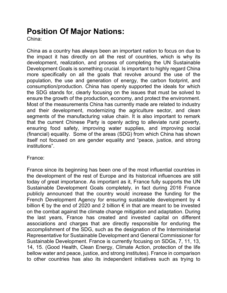# **Position Of Major Nations:**

China:

China as a country has always been an important nation to focus on due to the impact it has directly on all the rest of countries, which is why its development, realization, and process of completing the UN Sustainable Development Goals is something crucial. Is important to highly regard China more specifically on all the goals that revolve around the use of the population, the use and generation of energy, the carbon footprint, and consumption/production. China has openly supported the ideals for which the SDG stands for, clearly focusing on the issues that must be solved to ensure the growth of the production, economy, and protect the environment. Most of the measurements China has currently made are related to industry and their development, modernizing the agriculture sector, and clean segments of the manufacturing value chain. It is also important to remark that the current Chinese Party is openly acting to alleviate rural poverty, ensuring food safety, improving water supplies, and improving social (financial) equality. Some of the areas (SDG) from which China has shown itself not focused on are gender equality and "peace, justice, and strong institutions".

France:

France since its beginning has been one of the most influential countries in the development of the rest of Europe and its historical influences are still today of great importance. As important as it, France fully supports the UN Sustainable Development Goals completely, in fact during 2016 France publicly announced that the country would increase the funding for the French Development Agency for ensuring sustainable development by 4 billion  $\epsilon$  by the end of 2020 and 2 billion  $\epsilon$  in that are meant to be invested on the combat against the climate change mitigation and adaptation. During the last years, France has created and invested capital on different associations and charges that are directly responsible for enduring the accomplishment of the SDG, such as the designation of the Interministerial Representative for Sustainable Development and General Commissioner for Sustainable Development. France is currently focusing on SDGs, 7, 11, 13, 14, 15. (Good Health, Clean Energy, Climate Action, protection of the life bellow water and peace, justice, and strong institutes). France in comparison to other countries has also its independent initiatives such as trying to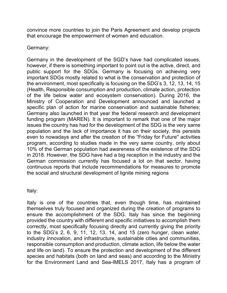convince more countries to join the Paris Agreement and develop projects that encourage the empowerment of women and education.

Germany:

Germany in the development of the SGD's have had complicated issues, however, if there is something important to point out is the active, direct, and public support for the SDGs. Germany is focusing on achieving very important SDGs mostly related to what is the conservation and protection of the environment, most specifically is focusing on the SDG's 3, 12, 13, 14, 15 (Health, Responsible consumption and production, climate action, protection of the life below water and ecosystem conservation). During 2016, the Ministry of Cooperation and Development announced and launched a specific plan of action for marine conservation and sustainable fisheries; Germany also launched in that year the federal research and development funding program (MAREN). It is important to remark that one of the major issues the country has had for the development of the SDG is the very same population and the lack of importance it has on their society, this persists even to nowadays and after the creation of the "Friday for Future'' activities program, according to studies made in the very same country, only about 10% of the German population had awareness of the existence of the SDG in 2018. However, the SDG have had a big reception in the industry and the German commission currently has focused a lot on that sector, having continuous reports that include recommendations for measures to promote the social and structural development of lignite mining regions

Italy:

Italy is one of the countries that, even though time, has maintained themselves truly focused and organized during the creation of programs to ensure the accomplishment of the SDG. Italy has since the beginning provided the country with different and specific initiatives to accomplish them correctly, most specifically focusing directly and currently giving the priority to the SDG's 2, 6, 9, 11, 12, 13, 14, and 15 (zero hunger, clean water, industry innovation, and infrastructure, sustainable cities and communities, responsible consumption and production, climate action, life below the water and life on land). To ensure the protection and development of the different species and habitats (both on land and seas) and according to the Ministry for the Environment Land and Sea-IMELS 2017, Italy has a program of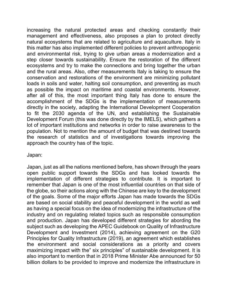increasing the natural protected areas and checking constantly their management and effectiveness, also proposes a plan to protect directly natural ecosystems that are related to agriculture and aquaculture. Italy in this matter has also implemented different policies to prevent anthropogenic and environmental risk, trying to give urban areas a modernization and a step closer towards sustainability. Ensure the restoration of the different ecosystems and try to make the connections and bring together the urban and the rural areas. Also, other measurements Italy is taking to ensure the conservation and restorations of the environment are minimizing pollutant loads in soils and water, halting soil consumption, and preventing as much as possible the impact on maritime and coastal environments. However, after all of this, the most important thing Italy has done to ensure the accomplishment of the SDGs is the implementation of measurements directly in the society, adapting the International Development Cooperation to fit the 2030 agenda of the UN, and establishing the Sustainable Development Forum (this was done directly by the IMELS), which gathers a lot of important institutions and networks in order to raise awareness to the population. Not to mention the amount of budget that was destined towards the research of statistics and of investigations towards improving the approach the country has of the topic.

Japan:

Japan, just as all the nations mentioned before, has shown through the years open public support towards the SDGs and has looked towards the implementation of different strategies to contribute. It is important to remember that Japan is one of the most influential countries on that side of the globe, so their actions along with the Chinese are key to the development of the goals. Some of the major efforts Japan has made towards the SDGs are based on social stability and peaceful development in the world as well as having a special focus on the idea of modernizing the infrastructure of the industry and on regulating related topics such as responsible consumption and production. Japan has developed different strategies for abording the subject such as developing the APEC Guidebook on Quality of Infrastructure Development and Investment (2014), achieving agreement on the G20 Principles for Quality Infrastructure (2019), an agreement which establishes the environment and social considerations as a priority and covers maximizing impact with the" six principles" of sustainable development. It is also important to mention that in 2018 Prime Minister Abe announced for 50 billion dollars to be provided to improve and modernize the infrastructure in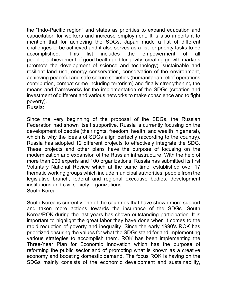the "Indo-Pacific region" and states as priorities to expand education and capacitation for workers and increase employment. It is also important to mention that for achieving the SDGs, Japan made a list of different challenges to be achieved and it also serves as a list for priority tasks to be accomplished. This list includes the empowerment of all people, achievement of good health and longevity, creating growth markets (promote the development of science and technology), sustainable and resilient land use, energy conservation, conservation of the environment, achieving peaceful and safe secure societies (humanitarian relief operations contribution, combat crime including terrorism) and finally strengthening the means and frameworks for the implementation of the SDGs (creation and investment of different and various networks to make conscience and to fight poverty).

Russia:

Since the very beginning of the proposal of the SDGs, the Russian Federation had shown itself supportive. Russia is currently focusing on the development of people (their rights, freedom, health, and wealth in general), which is why the ideals of SDGs align perfectly (according to the country). Russia has adopted 12 different projects to effectively integrate the SDG. These projects and other plans have the purpose of focusing on the modernization and expansion of the Russian infrastructure. With the help of more than 200 experts and 100 organizations, Russia has submitted its first Voluntary National Review which at the same time, established over 17 thematic working groups which include municipal authorities, people from the legislative branch, federal and regional executive bodies, development institutions and civil society organizations South Korea:

South Korea is currently one of the countries that have shown more support and taken more actions towards the insurance of the SDGs. South Korea/ROK during the last years has shown outstanding participation. It is important to highlight the great labor they have done when it comes to the rapid reduction of poverty and inequality. Since the early 1990's ROK has prioritized ensuring the values for what the SDGs stand for and implementing various strategies to accomplish them. ROK has been implementing the Three-Year Plan for Economic Innovation which has the purpose of reforming the public sector and of promoting what is known as a creative economy and boosting domestic demand. The focus ROK is having on the SDGs mainly consists of the economic development and sustainability,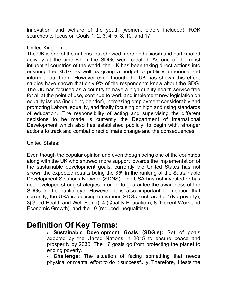innovation, and welfare of the youth (women, elders included). ROK searches to focus on Goals 1, 2, 3, 4, 5, 8, 10, and 17.

#### United Kingdom:

The UK is one of the nations that showed more enthusiasm and participated actively at the time when the SDGs were created. As one of the most influential countries of the world, the UK has been taking direct actions into ensuring the SDGs as well as giving a budget to publicly announce and inform about them. However even though the UK has shown this effort, studies have shown that only 9% of the respondents knew about the SDG. The UK has focused as a country to have a high-quality health service free for all at the point of use, continue to work and implement new legislation on equality issues (including gender), increasing employment considerably and promoting Laboral equality, and finally focusing on high and rising standards of education. The responsibility of acting and supervising the different decisions to be made is currently the Department of International Development which also has established publicly, to begin with, stronger actions to track and combat direct climate change and the consequences.

#### United States:

Even though the popular opinion and even though being one of the countries along with the UK who showed more support towards the implementation of the sustainable development goals, currently the United States has not shown the expected results being the  $35<sup>th</sup>$  in the ranking of the Sustainable Development Solutions Network (SDNS). The USA has not invested or has not developed strong strategies in order to guarantee the awareness of the SDGs in the public eye. However, it is also important to mention that currently, the USA is focusing on various SDGs such as the 1(No poverty), 3(Good Health and Well-Being), 4 (Quality Education), 8 (Decent Work and Economic Growth), and the 10 (reduced inequalities).

### **Definition Of Key Terms:**

• **Sustainable Development Goals (SDG's):** Set of goals adopted by the United Nations in 2015 to ensure peace and prosperity by 2030. The 17 goals go from protecting the planet to ending poverty.

• **Challenge:** The situation of facing something that needs physical or mental effort to do it successfully. Therefore, it tests the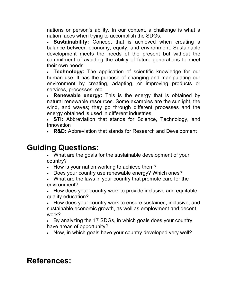nations or person's ability. In our context, a challenge is what a nation faces when trying to accomplish the SDGs.

• **Sustainability:** Concept that is achieved when creating a balance between economy, equity, and environment. Sustainable development meets the needs of the present but without the commitment of avoiding the ability of future generations to meet their own needs.

• **Technology:** The application of scientific knowledge for our human use. It has the purpose of changing and manipulating our environment by creating, adapting, or improving products or services, processes, etc.

• **Renewable energy:** This is the energy that is obtained by natural renewable resources. Some examples are the sunlight, the wind, and waves; they go through different processes and the energy obtained is used in different industries.

• **STI:** Abbreviation that stands for Science, Technology, and Innovation

• **R&D:** Abbreviation that stands for Research and Development

### **Guiding Questions:**

• What are the goals for the sustainable development of your country?

- How is your nation working to achieve them?
- Does your country use renewable energy? Which ones?
- What are the laws in your country that promote care for the environment?

• How does your country work to provide inclusive and equitable quality education?

• How does your country work to ensure sustained, inclusive, and sustainable economic growth, as well as employment and decent work?

• By analyzing the 17 SDGs, in which goals does your country have areas of opportunity?

• Now, in which goals have your country developed very well?

### **References:**